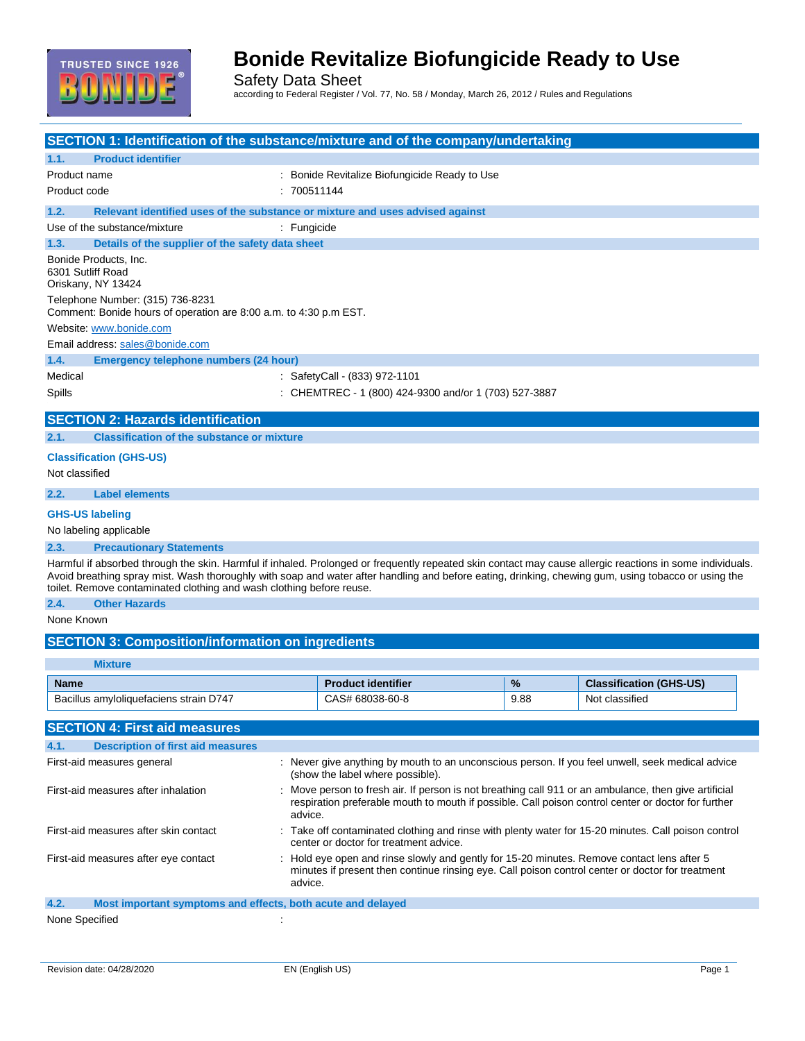

Safety Data Sheet

according to Federal Register / Vol. 77, No. 58 / Monday, March 26, 2012 / Rules and Regulations

| <b>SECTION 1: Identification of the substance/mixture and of the company/undertaking</b>                                                                                                                                                                                                                                                                                                 |                                                                                                                                                                                                                       |      |                                |  |
|------------------------------------------------------------------------------------------------------------------------------------------------------------------------------------------------------------------------------------------------------------------------------------------------------------------------------------------------------------------------------------------|-----------------------------------------------------------------------------------------------------------------------------------------------------------------------------------------------------------------------|------|--------------------------------|--|
| <b>Product identifier</b><br>1.1.                                                                                                                                                                                                                                                                                                                                                        |                                                                                                                                                                                                                       |      |                                |  |
| Product name                                                                                                                                                                                                                                                                                                                                                                             | : Bonide Revitalize Biofungicide Ready to Use                                                                                                                                                                         |      |                                |  |
| Product code                                                                                                                                                                                                                                                                                                                                                                             | :700511144                                                                                                                                                                                                            |      |                                |  |
| 1.2.<br>Relevant identified uses of the substance or mixture and uses advised against                                                                                                                                                                                                                                                                                                    |                                                                                                                                                                                                                       |      |                                |  |
| Use of the substance/mixture                                                                                                                                                                                                                                                                                                                                                             | : Fungicide                                                                                                                                                                                                           |      |                                |  |
| Details of the supplier of the safety data sheet<br>1.3.                                                                                                                                                                                                                                                                                                                                 |                                                                                                                                                                                                                       |      |                                |  |
| Bonide Products, Inc.<br>6301 Sutliff Road<br>Oriskany, NY 13424                                                                                                                                                                                                                                                                                                                         |                                                                                                                                                                                                                       |      |                                |  |
| Telephone Number: (315) 736-8231<br>Comment: Bonide hours of operation are 8:00 a.m. to 4:30 p.m EST.                                                                                                                                                                                                                                                                                    |                                                                                                                                                                                                                       |      |                                |  |
| Website: www.bonide.com                                                                                                                                                                                                                                                                                                                                                                  |                                                                                                                                                                                                                       |      |                                |  |
| Email address: sales@bonide.com                                                                                                                                                                                                                                                                                                                                                          |                                                                                                                                                                                                                       |      |                                |  |
| 1.4.<br><b>Emergency telephone numbers (24 hour)</b>                                                                                                                                                                                                                                                                                                                                     |                                                                                                                                                                                                                       |      |                                |  |
| Medical                                                                                                                                                                                                                                                                                                                                                                                  | : SafetyCall - (833) 972-1101                                                                                                                                                                                         |      |                                |  |
| Spills                                                                                                                                                                                                                                                                                                                                                                                   | : CHEMTREC - 1 (800) 424-9300 and/or 1 (703) 527-3887                                                                                                                                                                 |      |                                |  |
| <b>SECTION 2: Hazards identification</b>                                                                                                                                                                                                                                                                                                                                                 |                                                                                                                                                                                                                       |      |                                |  |
| <b>Classification of the substance or mixture</b><br>2.1.                                                                                                                                                                                                                                                                                                                                |                                                                                                                                                                                                                       |      |                                |  |
| <b>Classification (GHS-US)</b>                                                                                                                                                                                                                                                                                                                                                           |                                                                                                                                                                                                                       |      |                                |  |
| Not classified                                                                                                                                                                                                                                                                                                                                                                           |                                                                                                                                                                                                                       |      |                                |  |
| <b>Label elements</b><br>2.2.                                                                                                                                                                                                                                                                                                                                                            |                                                                                                                                                                                                                       |      |                                |  |
| <b>GHS-US labeling</b>                                                                                                                                                                                                                                                                                                                                                                   |                                                                                                                                                                                                                       |      |                                |  |
| No labeling applicable                                                                                                                                                                                                                                                                                                                                                                   |                                                                                                                                                                                                                       |      |                                |  |
| 2.3.<br><b>Precautionary Statements</b>                                                                                                                                                                                                                                                                                                                                                  |                                                                                                                                                                                                                       |      |                                |  |
| Harmful if absorbed through the skin. Harmful if inhaled. Prolonged or frequently repeated skin contact may cause allergic reactions in some individuals.<br>Avoid breathing spray mist. Wash thoroughly with soap and water after handling and before eating, drinking, chewing gum, using tobacco or using the<br>toilet. Remove contaminated clothing and wash clothing before reuse. |                                                                                                                                                                                                                       |      |                                |  |
| 2.4.<br><b>Other Hazards</b>                                                                                                                                                                                                                                                                                                                                                             |                                                                                                                                                                                                                       |      |                                |  |
| None Known                                                                                                                                                                                                                                                                                                                                                                               |                                                                                                                                                                                                                       |      |                                |  |
| <b>SECTION 3: Composition/information on ingredients</b>                                                                                                                                                                                                                                                                                                                                 |                                                                                                                                                                                                                       |      |                                |  |
|                                                                                                                                                                                                                                                                                                                                                                                          |                                                                                                                                                                                                                       |      |                                |  |
| <b>Mixture</b>                                                                                                                                                                                                                                                                                                                                                                           |                                                                                                                                                                                                                       |      |                                |  |
| <b>Name</b>                                                                                                                                                                                                                                                                                                                                                                              | <b>Product identifier</b>                                                                                                                                                                                             | %    | <b>Classification (GHS-US)</b> |  |
| Bacillus amyloliquefaciens strain D747                                                                                                                                                                                                                                                                                                                                                   | CAS# 68038-60-8                                                                                                                                                                                                       | 9.88 | Not classified                 |  |
| <b>SECTION 4: First aid measures</b>                                                                                                                                                                                                                                                                                                                                                     |                                                                                                                                                                                                                       |      |                                |  |
| <b>Description of first aid measures</b><br>4.1.                                                                                                                                                                                                                                                                                                                                         |                                                                                                                                                                                                                       |      |                                |  |
| First-aid measures general                                                                                                                                                                                                                                                                                                                                                               | : Never give anything by mouth to an unconscious person. If you feel unwell, seek medical advice<br>(show the label where possible).                                                                                  |      |                                |  |
| First-aid measures after inhalation                                                                                                                                                                                                                                                                                                                                                      | Move person to fresh air. If person is not breathing call 911 or an ambulance, then give artificial<br>respiration preferable mouth to mouth if possible. Call poison control center or doctor for further<br>advice. |      |                                |  |
| First-aid measures after skin contact                                                                                                                                                                                                                                                                                                                                                    | Take off contaminated clothing and rinse with plenty water for 15-20 minutes. Call poison control<br>center or doctor for treatment advice.                                                                           |      |                                |  |
| First-aid measures after eye contact                                                                                                                                                                                                                                                                                                                                                     | Hold eye open and rinse slowly and gently for 15-20 minutes. Remove contact lens after 5<br>minutes if present then continue rinsing eye. Call poison control center or doctor for treatment<br>advice.               |      |                                |  |
| 4.2.<br>Most important symptoms and effects, both acute and delayed                                                                                                                                                                                                                                                                                                                      |                                                                                                                                                                                                                       |      |                                |  |
| None Specified                                                                                                                                                                                                                                                                                                                                                                           |                                                                                                                                                                                                                       |      |                                |  |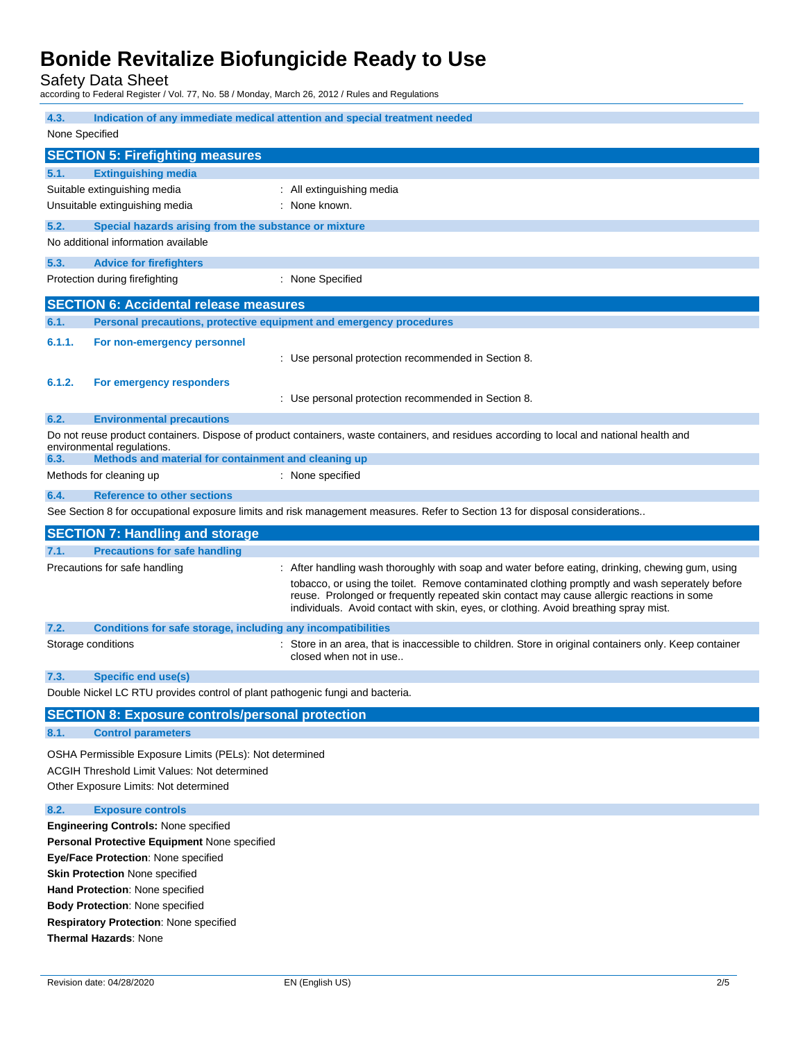Safety Data Sheet

according to Federal Register / Vol. 77, No. 58 / Monday, March 26, 2012 / Rules and Regulations

| 4.3.           | Indication of any immediate medical attention and special treatment needed                                                                                                                                                                                                                                                         |                                                                                                                                                                                                                                                                                                                                                                                         |  |  |
|----------------|------------------------------------------------------------------------------------------------------------------------------------------------------------------------------------------------------------------------------------------------------------------------------------------------------------------------------------|-----------------------------------------------------------------------------------------------------------------------------------------------------------------------------------------------------------------------------------------------------------------------------------------------------------------------------------------------------------------------------------------|--|--|
| None Specified |                                                                                                                                                                                                                                                                                                                                    |                                                                                                                                                                                                                                                                                                                                                                                         |  |  |
|                | <b>SECTION 5: Firefighting measures</b>                                                                                                                                                                                                                                                                                            |                                                                                                                                                                                                                                                                                                                                                                                         |  |  |
| 5.1.           | <b>Extinguishing media</b>                                                                                                                                                                                                                                                                                                         |                                                                                                                                                                                                                                                                                                                                                                                         |  |  |
|                | Suitable extinguishing media                                                                                                                                                                                                                                                                                                       | : All extinguishing media                                                                                                                                                                                                                                                                                                                                                               |  |  |
|                | Unsuitable extinguishing media                                                                                                                                                                                                                                                                                                     | : None known.                                                                                                                                                                                                                                                                                                                                                                           |  |  |
| 5.2.           | Special hazards arising from the substance or mixture                                                                                                                                                                                                                                                                              |                                                                                                                                                                                                                                                                                                                                                                                         |  |  |
|                | No additional information available                                                                                                                                                                                                                                                                                                |                                                                                                                                                                                                                                                                                                                                                                                         |  |  |
| 5.3.           | <b>Advice for firefighters</b>                                                                                                                                                                                                                                                                                                     |                                                                                                                                                                                                                                                                                                                                                                                         |  |  |
|                | Protection during firefighting                                                                                                                                                                                                                                                                                                     | : None Specified                                                                                                                                                                                                                                                                                                                                                                        |  |  |
|                | <b>SECTION 6: Accidental release measures</b>                                                                                                                                                                                                                                                                                      |                                                                                                                                                                                                                                                                                                                                                                                         |  |  |
| 6.1.           | Personal precautions, protective equipment and emergency procedures                                                                                                                                                                                                                                                                |                                                                                                                                                                                                                                                                                                                                                                                         |  |  |
| 6.1.1.         | For non-emergency personnel                                                                                                                                                                                                                                                                                                        | : Use personal protection recommended in Section 8.                                                                                                                                                                                                                                                                                                                                     |  |  |
| 6.1.2.         | For emergency responders                                                                                                                                                                                                                                                                                                           | : Use personal protection recommended in Section 8.                                                                                                                                                                                                                                                                                                                                     |  |  |
| 6.2.           | <b>Environmental precautions</b>                                                                                                                                                                                                                                                                                                   |                                                                                                                                                                                                                                                                                                                                                                                         |  |  |
|                | environmental regulations.                                                                                                                                                                                                                                                                                                         | Do not reuse product containers. Dispose of product containers, waste containers, and residues according to local and national health and                                                                                                                                                                                                                                               |  |  |
| 6.3.           | Methods and material for containment and cleaning up                                                                                                                                                                                                                                                                               |                                                                                                                                                                                                                                                                                                                                                                                         |  |  |
|                | Methods for cleaning up                                                                                                                                                                                                                                                                                                            | : None specified                                                                                                                                                                                                                                                                                                                                                                        |  |  |
| 6.4.           | <b>Reference to other sections</b>                                                                                                                                                                                                                                                                                                 |                                                                                                                                                                                                                                                                                                                                                                                         |  |  |
|                |                                                                                                                                                                                                                                                                                                                                    | See Section 8 for occupational exposure limits and risk management measures. Refer to Section 13 for disposal considerations                                                                                                                                                                                                                                                            |  |  |
|                | <b>SECTION 7: Handling and storage</b>                                                                                                                                                                                                                                                                                             |                                                                                                                                                                                                                                                                                                                                                                                         |  |  |
|                |                                                                                                                                                                                                                                                                                                                                    |                                                                                                                                                                                                                                                                                                                                                                                         |  |  |
| 7.1.           | <b>Precautions for safe handling</b>                                                                                                                                                                                                                                                                                               |                                                                                                                                                                                                                                                                                                                                                                                         |  |  |
|                | Precautions for safe handling                                                                                                                                                                                                                                                                                                      | : After handling wash thoroughly with soap and water before eating, drinking, chewing gum, using<br>tobacco, or using the toilet. Remove contaminated clothing promptly and wash seperately before<br>reuse. Prolonged or frequently repeated skin contact may cause allergic reactions in some<br>individuals. Avoid contact with skin, eyes, or clothing. Avoid breathing spray mist. |  |  |
| 7.2.           | Conditions for safe storage, including any incompatibilities                                                                                                                                                                                                                                                                       |                                                                                                                                                                                                                                                                                                                                                                                         |  |  |
|                | Storage conditions                                                                                                                                                                                                                                                                                                                 | : Store in an area, that is inaccessible to children. Store in original containers only. Keep container<br>closed when not in use                                                                                                                                                                                                                                                       |  |  |
| 7.3.           | Specific end use(s)                                                                                                                                                                                                                                                                                                                |                                                                                                                                                                                                                                                                                                                                                                                         |  |  |
|                | Double Nickel LC RTU provides control of plant pathogenic fungi and bacteria.                                                                                                                                                                                                                                                      |                                                                                                                                                                                                                                                                                                                                                                                         |  |  |
|                | <b>SECTION 8: Exposure controls/personal protection</b>                                                                                                                                                                                                                                                                            |                                                                                                                                                                                                                                                                                                                                                                                         |  |  |
| 8.1.           | <b>Control parameters</b>                                                                                                                                                                                                                                                                                                          |                                                                                                                                                                                                                                                                                                                                                                                         |  |  |
|                | OSHA Permissible Exposure Limits (PELs): Not determined<br><b>ACGIH Threshold Limit Values: Not determined</b><br>Other Exposure Limits: Not determined                                                                                                                                                                            |                                                                                                                                                                                                                                                                                                                                                                                         |  |  |
| 8.2.           | <b>Exposure controls</b>                                                                                                                                                                                                                                                                                                           |                                                                                                                                                                                                                                                                                                                                                                                         |  |  |
|                | <b>Engineering Controls: None specified</b><br>Personal Protective Equipment None specified<br>Eye/Face Protection: None specified<br><b>Skin Protection None specified</b><br>Hand Protection: None specified<br><b>Body Protection: None specified</b><br>Respiratory Protection: None specified<br><b>Thermal Hazards: None</b> |                                                                                                                                                                                                                                                                                                                                                                                         |  |  |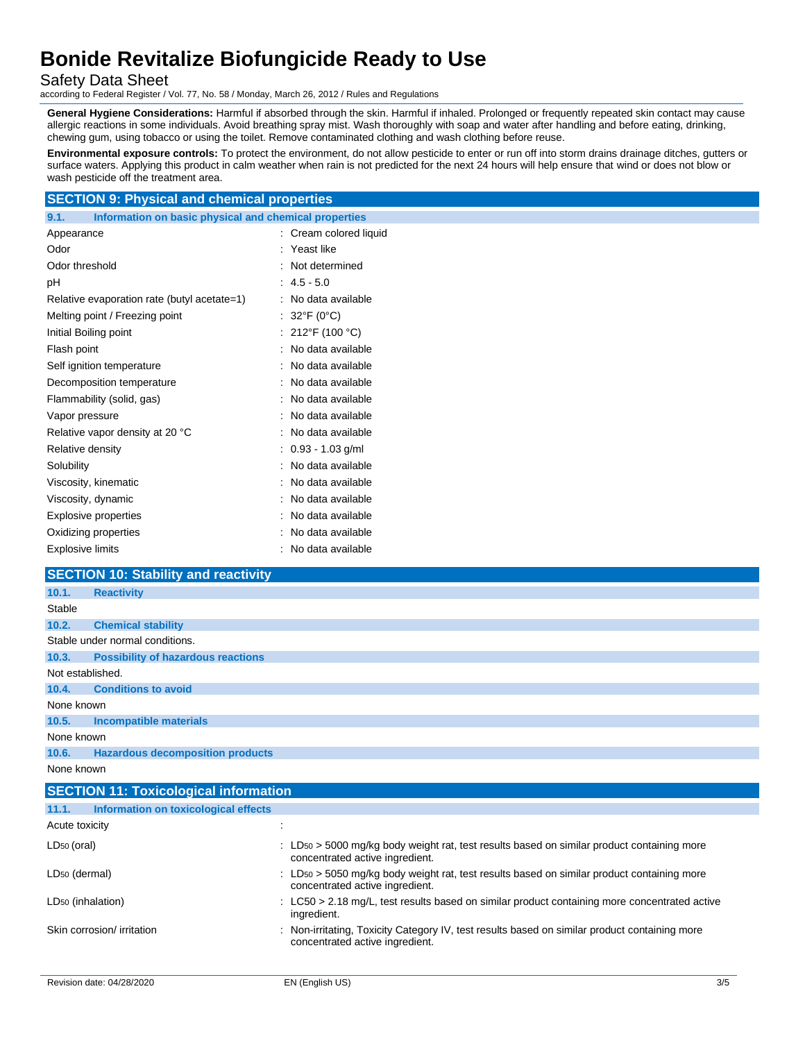Safety Data Sheet

according to Federal Register / Vol. 77, No. 58 / Monday, March 26, 2012 / Rules and Regulations

**General Hygiene Considerations:** Harmful if absorbed through the skin. Harmful if inhaled. Prolonged or frequently repeated skin contact may cause allergic reactions in some individuals. Avoid breathing spray mist. Wash thoroughly with soap and water after handling and before eating, drinking, chewing gum, using tobacco or using the toilet. Remove contaminated clothing and wash clothing before reuse.

**Environmental exposure controls:** To protect the environment, do not allow pesticide to enter or run off into storm drains drainage ditches, gutters or surface waters. Applying this product in calm weather when rain is not predicted for the next 24 hours will help ensure that wind or does not blow or wash pesticide off the treatment area.

### **SECTION 9: Physical and chemical properties**

**9.1. Information on basic physical and chemical properties**

| Appearance                                  | : Cream colored liquid |
|---------------------------------------------|------------------------|
| Odor                                        | Yeast like             |
| Odor threshold                              | Not determined         |
| рH                                          | $4.5 - 5.0$            |
| Relative evaporation rate (butyl acetate=1) | No data available      |
| Melting point / Freezing point              | 32°F (0°C)             |
| Initial Boiling point                       | 212°F (100 °C)         |
| Flash point                                 | No data available      |
| Self ignition temperature                   | No data available      |
| Decomposition temperature                   | No data available      |
| Flammability (solid, gas)                   | No data available      |
| Vapor pressure                              | No data available      |
| Relative vapor density at 20 °C             | No data available      |
| Relative density                            | $0.93 - 1.03$ g/ml     |
| Solubility                                  | No data available      |
| Viscosity, kinematic                        | No data available      |
| Viscosity, dynamic                          | No data available      |
| <b>Explosive properties</b>                 | No data available      |
| Oxidizing properties                        | No data available      |
| <b>Explosive limits</b>                     | No data available      |

## **SECTION 10: Stability and reactivity**

| 10.1.            | <b>Reactivity</b>                         |
|------------------|-------------------------------------------|
| Stable           |                                           |
| 10.2.            | <b>Chemical stability</b>                 |
|                  | Stable under normal conditions.           |
| 10.3.            | <b>Possibility of hazardous reactions</b> |
| Not established. |                                           |
| 10.4.            | <b>Conditions to avoid</b>                |
| None known       |                                           |
| 10.5.            | Incompatible materials                    |
| None known       |                                           |
| 10.6.            | <b>Hazardous decomposition products</b>   |
| None known       |                                           |

| <b>SECTION 11: Toxicological information</b>  |                                                                                                                                                        |
|-----------------------------------------------|--------------------------------------------------------------------------------------------------------------------------------------------------------|
| Information on toxicological effects<br>11.1. |                                                                                                                                                        |
| Acute toxicity                                |                                                                                                                                                        |
| $LD_{50}$ (oral)                              | : LD <sub>50</sub> > 5000 mg/kg body weight rat, test results based on similar product containing more<br>concentrated active ingredient.              |
| LD <sub>50</sub> (dermal)                     | $\therefore$ LD <sub>50</sub> $>$ 5050 mg/kg body weight rat, test results based on similar product containing more<br>concentrated active ingredient. |
| LD <sub>50</sub> (inhalation)                 | $\therefore$ LC50 > 2.18 mg/L, test results based on similar product containing more concentrated active<br>ingredient.                                |
| Skin corrosion/ irritation                    | : Non-irritating, Toxicity Category IV, test results based on similar product containing more<br>concentrated active ingredient.                       |
|                                               |                                                                                                                                                        |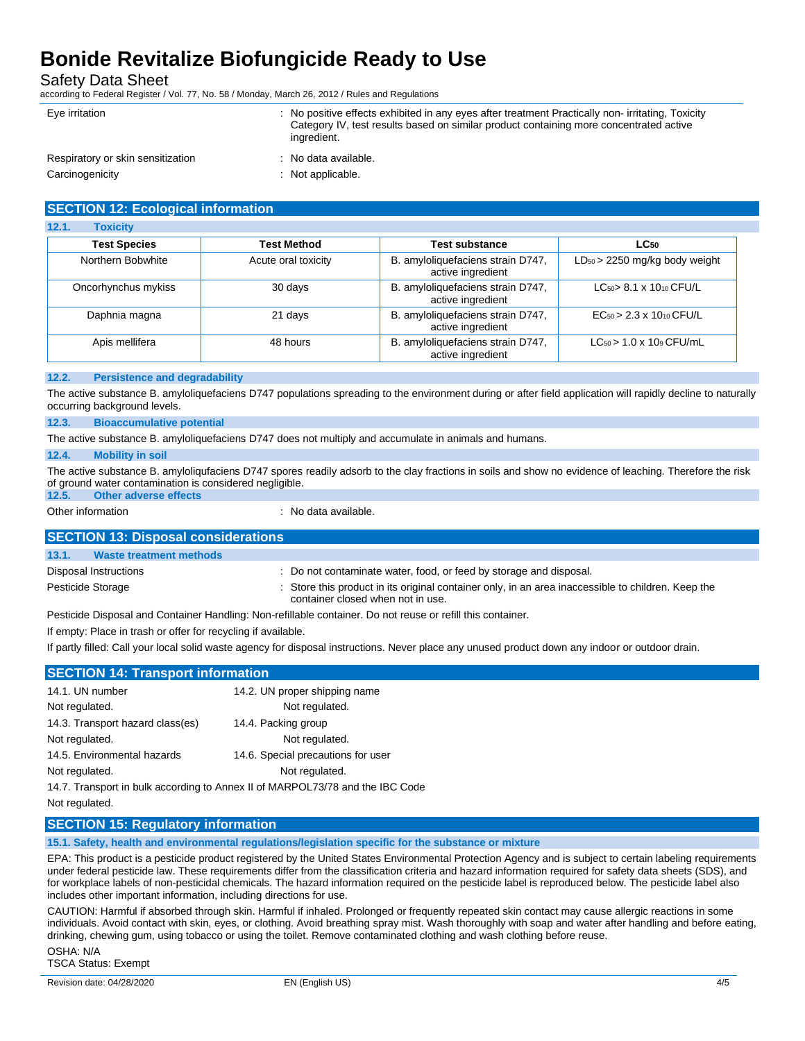Safety Data Sheet

according to Federal Register / Vol. 77, No. 58 / Monday, March 26, 2012 / Rules and Regulations

| Eye irritation                    | No positive effects exhibited in any eyes after treatment Practically non-irritating, Toxicity<br>Category IV, test results based on similar product containing more concentrated active<br>ingredient. |
|-----------------------------------|---------------------------------------------------------------------------------------------------------------------------------------------------------------------------------------------------------|
| Respiratory or skin sensitization | : No data available.                                                                                                                                                                                    |
| Carcinogenicity                   | Not applicable.                                                                                                                                                                                         |

|  | <b>SECTION 12: Ecological information</b> |
|--|-------------------------------------------|
|  |                                           |

| 12.1.<br><b>Toxicity</b> |                     |                                                        |                                          |
|--------------------------|---------------------|--------------------------------------------------------|------------------------------------------|
| <b>Test Species</b>      | Test Method         | <b>Test substance</b>                                  | LC <sub>50</sub>                         |
| Northern Bobwhite        | Acute oral toxicity | B. amyloliquefaciens strain D747,<br>active ingredient | $LD_{50}$ > 2250 mg/kg body weight       |
| Oncorhynchus mykiss      | 30 days             | B. amyloliquefaciens strain D747,<br>active ingredient | $LC_{50}$ 8.1 x 1010 CFU/L               |
| Daphnia magna            | 21 days             | B. amyloliquefaciens strain D747,<br>active ingredient | $EC_{50} > 2.3 \times 10_{10}$ CFU/L     |
| Apis mellifera           | 48 hours            | B. amyloliquefaciens strain D747,<br>active ingredient | $LC_{50}$ > 1.0 x 10 <sup>9</sup> CFU/mL |

#### **12.2. Persistence and degradability**

The active substance B. amyloliquefaciens D747 populations spreading to the environment during or after field application will rapidly decline to naturally occurring background levels.

#### **12.3. Bioaccumulative potential**

The active substance B. amyloliquefaciens D747 does not multiply and accumulate in animals and humans.

#### **12.4. Mobility in soil**

The active substance B. amyloliqufaciens D747 spores readily adsorb to the clay fractions in soils and show no evidence of leaching. Therefore the risk of ground water contamination is considered negligible. **12.5. Other adverse effects**

Other information **interest in the contract of the Contract Contract Contract Contract Contract Contract Contract Contract Contract Contract Contract Contract Contract Contract Contract Contract Contract Contract Contract** 

| <b>SECTION 13: Disposal considerations</b> |                                                                                                                                         |
|--------------------------------------------|-----------------------------------------------------------------------------------------------------------------------------------------|
| 13.1.<br><b>Waste treatment methods</b>    |                                                                                                                                         |
| Disposal Instructions                      | : Do not contaminate water, food, or feed by storage and disposal.                                                                      |
| Pesticide Storage                          | : Store this product in its original container only, in an area inaccessible to children. Keep the<br>container closed when not in use. |
|                                            | Pesticide Disposal and Container Handling: Non-refillable container. Do not reuse or refill this container.                             |

If empty: Place in trash or offer for recycling if available.

If partly filled: Call your local solid waste agency for disposal instructions. Never place any unused product down any indoor or outdoor drain.

| <b>SECTION 14: Transport information</b>                                      |                                    |  |  |  |
|-------------------------------------------------------------------------------|------------------------------------|--|--|--|
| 14.1. UN number                                                               | 14.2. UN proper shipping name      |  |  |  |
| Not regulated.                                                                | Not regulated.                     |  |  |  |
| 14.3. Transport hazard class(es)                                              | 14.4. Packing group                |  |  |  |
| Not regulated.                                                                | Not regulated.                     |  |  |  |
| 14.5. Environmental hazards                                                   | 14.6. Special precautions for user |  |  |  |
| Not regulated.                                                                | Not regulated.                     |  |  |  |
| 14.7. Transport in bulk according to Annex II of MARPOL73/78 and the IBC Code |                                    |  |  |  |

Not regulated.

### **SECTION 15: Regulatory information**

**15.1. Safety, health and environmental regulations/legislation specific for the substance or mixture**

EPA: This product is a pesticide product registered by the United States Environmental Protection Agency and is subject to certain labeling requirements under federal pesticide law. These requirements differ from the classification criteria and hazard information required for safety data sheets (SDS), and for workplace labels of non-pesticidal chemicals. The hazard information required on the pesticide label is reproduced below. The pesticide label also includes other important information, including directions for use.

CAUTION: Harmful if absorbed through skin. Harmful if inhaled. Prolonged or frequently repeated skin contact may cause allergic reactions in some individuals. Avoid contact with skin, eyes, or clothing. Avoid breathing spray mist. Wash thoroughly with soap and water after handling and before eating, drinking, chewing gum, using tobacco or using the toilet. Remove contaminated clothing and wash clothing before reuse.

OSHA: N/A TSCA Status: Exempt